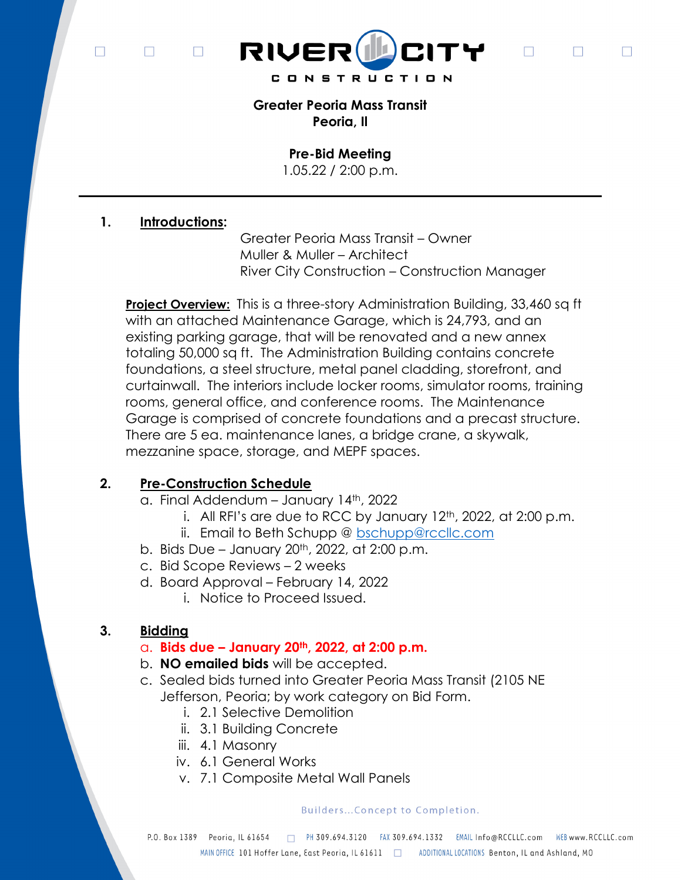$\Box$  $\Box$ 

 $\Box$ 



 $\Box$ 

 $\Box$ 

 $\Box$ 

Greater Peoria Mass Transit Peoria, Il

Pre-Bid Meeting

1.05.22 / 2:00 p.m.

# 1. Introductions:

 Greater Peoria Mass Transit – Owner Muller & Muller – Architect River City Construction – Construction Manager

**Project Overview:** This is a three-story Administration Building, 33,460 sq ft with an attached Maintenance Garage, which is 24,793, and an existing parking garage, that will be renovated and a new annex totaling 50,000 sq ft. The Administration Building contains concrete foundations, a steel structure, metal panel cladding, storefront, and curtainwall. The interiors include locker rooms, simulator rooms, training rooms, general office, and conference rooms. The Maintenance Garage is comprised of concrete foundations and a precast structure. There are 5 ea. maintenance lanes, a bridge crane, a skywalk, mezzanine space, storage, and MEPF spaces.

# 2. Pre-Construction Schedule

- a. Final Addendum January 14th, 2022
	- i. All RFI's are due to RCC by January  $12<sup>th</sup>$ , 2022, at 2:00 p.m.
	- ii. Email to Beth Schupp @ bschupp@rccllc.com
- b. Bids Due January  $20<sup>th</sup>$ ,  $2022$ , at  $2:00$  p.m.
- c. Bid Scope Reviews 2 weeks
- d. Board Approval February 14, 2022
	- i. Notice to Proceed Issued.

# 3. Bidding

# $\alpha$ . Bids due – January 20<sup>th</sup>, 2022, at 2:00 p.m.

- b. NO emailed bids will be accepted.
- c. Sealed bids turned into Greater Peoria Mass Transit (2105 NE Jefferson, Peoria; by work category on Bid Form.
	- i. 2.1 Selective Demolition
	- ii. 3.1 Building Concrete
	- iii. 4.1 Masonry
	- iv. 6.1 General Works
	- v. 7.1 Composite Metal Wall Panels

## Builders...Concept to Completion.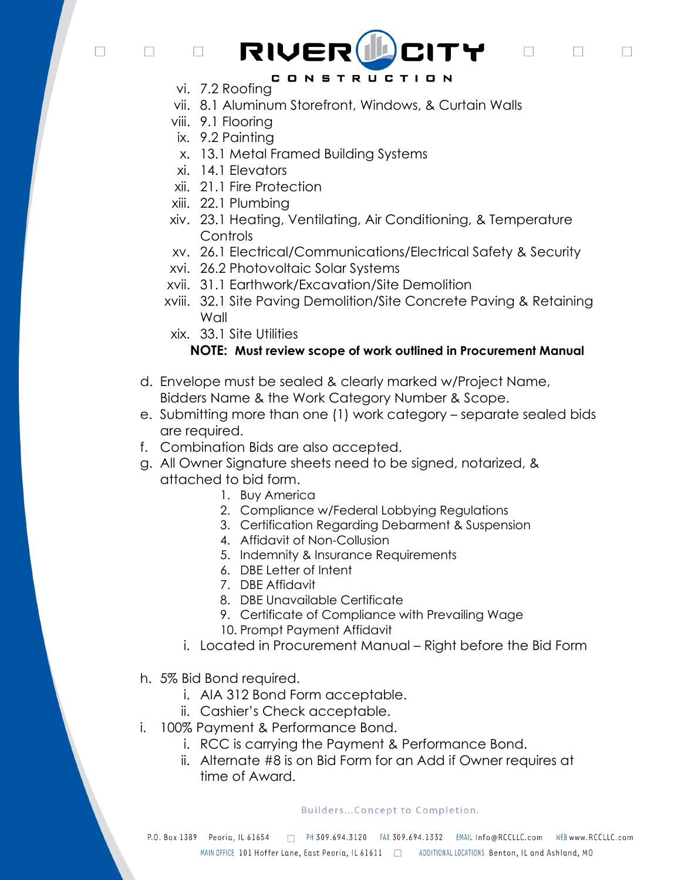$\Box$ 

 $\Box$ 

# CONSTRUCTION

RIVER LITY

 $\Box$ 

 $\Box$ 

П

vi. 7.2 Roofing

 $\Box$ 

- vii. 8.1 Aluminum Storefront, Windows, & Curtain Walls
- viii. 9.1 Flooring
- ix. 9.2 Painting
- x. 13.1 Metal Framed Building Systems
- xi. 14.1 Elevators
- xii. 21.1 Fire Protection
- xiii. 22.1 Plumbing
- xiv. 23.1 Heating, Ventilating, Air Conditioning, & Temperature Controls
- xv. 26.1 Electrical/Communications/Electrical Safety & Security
- xvi. 26.2 Photovoltaic Solar Systems
- xvii. 31.1 Earthwork/Excavation/Site Demolition
- xviii. 32.1 Site Paving Demolition/Site Concrete Paving & Retaining Wall
- xix. 33.1 Site Utilities

## NOTE: Must review scope of work outlined in Procurement Manual

- d. Envelope must be sealed & clearly marked w/Project Name, Bidders Name & the Work Category Number & Scope.
- e. Submitting more than one (1) work category separate sealed bids are required.
- f. Combination Bids are also accepted.
- g. All Owner Signature sheets need to be signed, notarized, & attached to bid form.
	- 1. Buy America
	- 2. Compliance w/Federal Lobbying Regulations
	- 3. Certification Regarding Debarment & Suspension
	- 4. Affidavit of Non-Collusion
	- 5. Indemnity & Insurance Requirements
	- 6. DBE Letter of Intent
	- 7. DBE Affidavit
	- 8. DBE Unavailable Certificate
	- 9. Certificate of Compliance with Prevailing Wage
	- 10. Prompt Payment Affidavit
	- i. Located in Procurement Manual Right before the Bid Form
- h. 5% Bid Bond required.
	- i. AIA 312 Bond Form acceptable.
	- ii. Cashier's Check acceptable.
- i. 100% Payment & Performance Bond.
	- i. RCC is carrying the Payment & Performance Bond.
	- ii. Alternate #8 is on Bid Form for an Add if Owner requires at time of Award.

### Builders...Concept to Completion.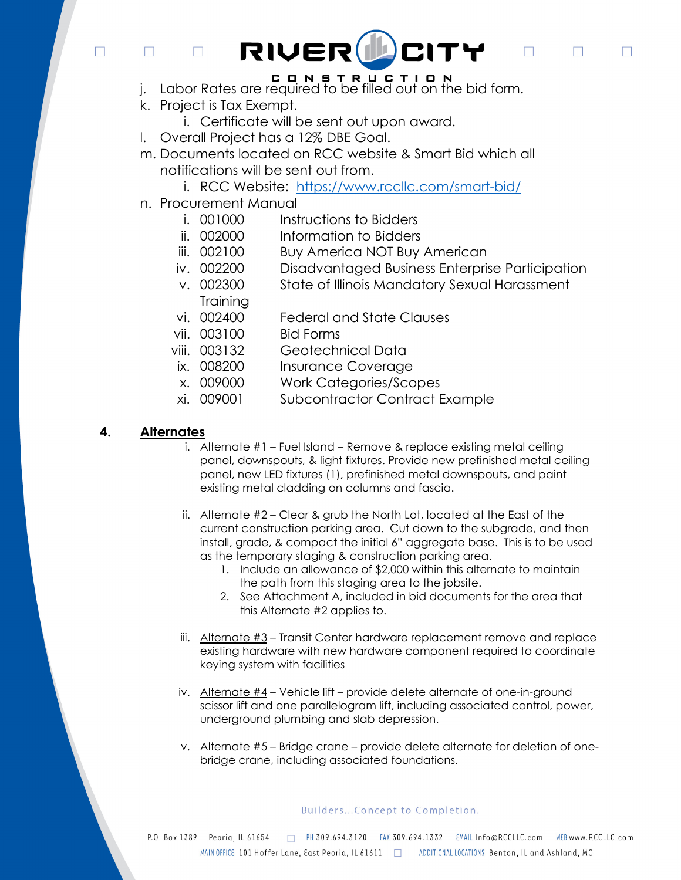$\Box$ 

 $\Box$ 

# CITY RIVER(IL

 $\Box$ 

 $\Box$ 

П

- j. Labor Rates are required to be filled out on the bid form.
- k. Project is Tax Exempt.

 $\Box$ 

- i. Certificate will be sent out upon award.
- l. Overall Project has a 12% DBE Goal.
- m. Documents located on RCC website & Smart Bid which all notifications will be sent out from.
	- i. RCC Website: https://www.rccllc.com/smart-bid/
- n. Procurement Manual
	- i. 001000 Instructions to Bidders
	- ii. 002000 Information to Bidders
	- iii. 002100 Buy America NOT Buy American
	- iv. 002200 Disadvantaged Business Enterprise Participation
	- v. 002300 State of Illinois Mandatory Sexual Harassment **Training**
	- vi. 002400 Federal and State Clauses
	- vii. 003100 Bid Forms
	- viii. 003132 Geotechnical Data
	- ix. 008200 Insurance Coverage
	- x. 009000 Work Categories/Scopes
	- xi. 009001 Subcontractor Contract Example

# 4. Alternates

- i. Alternate #1 Fuel Island Remove & replace existing metal ceiling panel, downspouts, & light fixtures. Provide new prefinished metal ceiling panel, new LED fixtures (1), prefinished metal downspouts, and paint existing metal cladding on columns and fascia.
- ii. Alternate #2 Clear & grub the North Lot, located at the East of the current construction parking area. Cut down to the subgrade, and then install, grade, & compact the initial 6" aggregate base. This is to be used as the temporary staging & construction parking area.
	- 1. Include an allowance of \$2,000 within this alternate to maintain the path from this staging area to the jobsite.
	- 2. See Attachment A, included in bid documents for the area that this Alternate #2 applies to.
- iii. Alternate #3 Transit Center hardware replacement remove and replace existing hardware with new hardware component required to coordinate keying system with facilities
- iv. Alternate #4 Vehicle lift provide delete alternate of one-in-ground scissor lift and one parallelogram lift, including associated control, power, underground plumbing and slab depression.
- v. Alternate #5 Bridge crane provide delete alternate for deletion of onebridge crane, including associated foundations.

## Builders...Concept to Completion.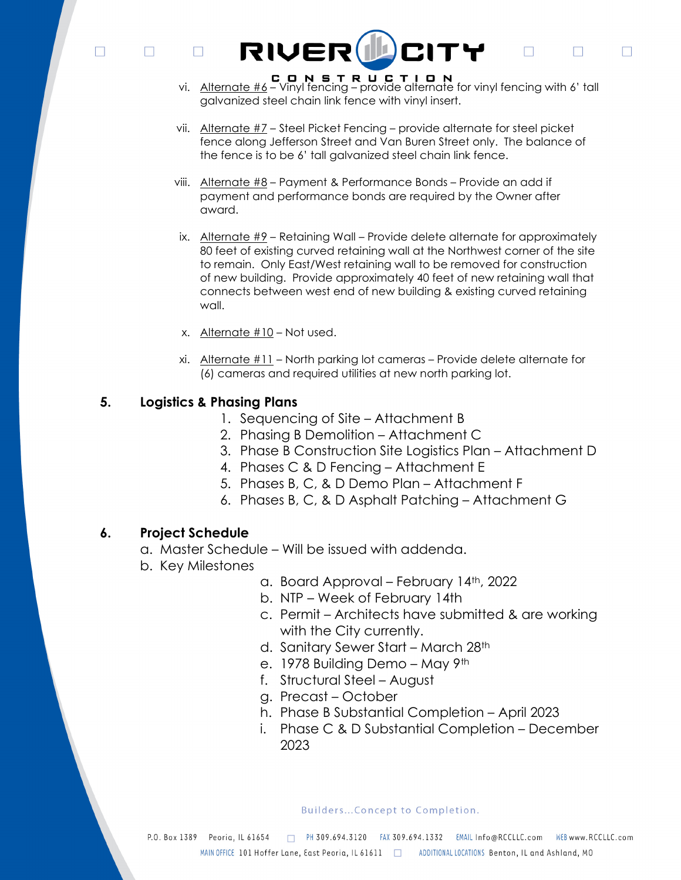$\Box$  $\Box$ 

 $\Box$ 

vi. Alternate  $\#6 -$  Vinyl fencing – provide alternate for vinyl fencing with 6' tall galvanized steel chain link fence with vinyl insert.

 $\Box$ 

 $\Box$ 

 $\Box$ 

- vii. Alternate #7 Steel Picket Fencing provide alternate for steel picket fence along Jefferson Street and Van Buren Street only. The balance of the fence is to be 6' tall galvanized steel chain link fence.
- viii. Alternate #8 Payment & Performance Bonds Provide an add if payment and performance bonds are required by the Owner after award.

RIVER LOCITY

- ix. Alternate  $#9$  Retaining Wall Provide delete alternate for approximately 80 feet of existing curved retaining wall at the Northwest corner of the site to remain. Only East/West retaining wall to be removed for construction of new building. Provide approximately 40 feet of new retaining wall that connects between west end of new building & existing curved retaining wall.
- x. Alternate #10 Not used.
- xi. Alternate #11 North parking lot cameras Provide delete alternate for (6) cameras and required utilities at new north parking lot.

## 5. Logistics & Phasing Plans

- 1. Sequencing of Site Attachment B
- 2. Phasing B Demolition Attachment C
- 3. Phase B Construction Site Logistics Plan Attachment D
- 4. Phases C & D Fencing Attachment E
- 5. Phases B, C, & D Demo Plan Attachment F
- 6. Phases B, C, & D Asphalt Patching Attachment G

## 6. Project Schedule

- a. Master Schedule Will be issued with addenda.
- b. Key Milestones
- a. Board Approval February 14th, 2022
- b. NTP Week of February 14th
- c. Permit Architects have submitted & are working with the City currently.
- d. Sanitary Sewer Start March 28th
- e. 1978 Building Demo May 9th
- f. Structural Steel August
- g. Precast October
- h. Phase B Substantial Completion April 2023
- i. Phase C & D Substantial Completion December 2023

Builders...Concept to Completion.